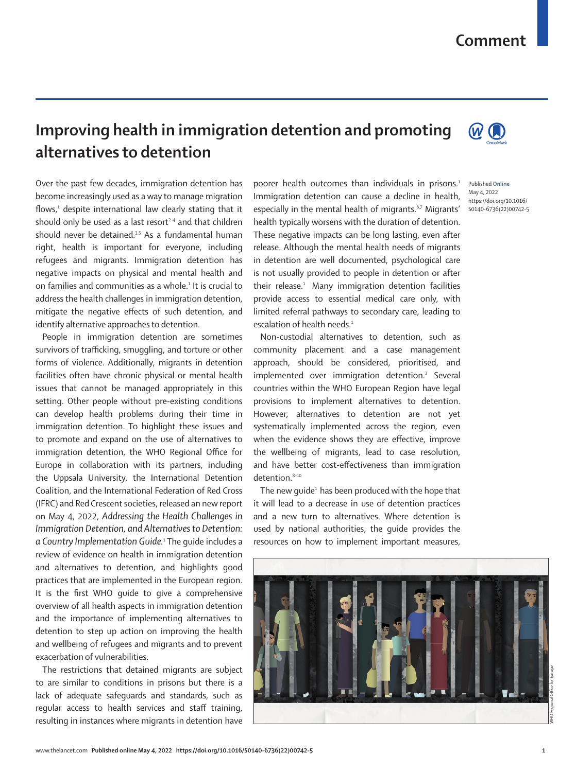## **Comment**

## **Improving health in immigration detention and promoting alternatives to detention**

Over the past few decades, immigration detention has become increasingly used as a way to manage migration flows,<sup>1</sup> despite international law clearly stating that it should only be used as a last resort $2-4$  and that children should never be detained. $35$  As a fundamental human right, health is important for everyone, including refugees and migrants. Immigration detention has negative impacts on physical and mental health and on families and communities as a whole.1 It is crucial to address the health challenges in immigration detention, mitigate the negative effects of such detention, and identify alternative approaches to detention.

People in immigration detention are sometimes survivors of trafficking, smuggling, and torture or other forms of violence. Additionally, migrants in detention facilities often have chronic physical or mental health issues that cannot be managed appropriately in this setting. Other people without pre-existing conditions can develop health problems during their time in immigration detention. To highlight these issues and to promote and expand on the use of alternatives to immigration detention, the WHO Regional Office for Europe in collaboration with its partners, including the Uppsala University, the International Detention Coalition, and the International Federation of Red Cross (IFRC) and Red Crescent societies, released an new report on May 4, 2022, *Addressing the Health Challenges in Immigration Detention, and Alternatives to Detention:*  a Country Implementation Guide.<sup>1</sup> The guide includes a review of evidence on health in immigration detention and alternatives to detention, and highlights good practices that are implemented in the European region. It is the first WHO guide to give a comprehensive overview of all health aspects in immigration detention and the importance of implementing alternatives to detention to step up action on improving the health and wellbeing of refugees and migrants and to prevent exacerbation of vulnerabilities.

The restrictions that detained migrants are subject to are similar to conditions in prisons but there is a lack of adequate safeguards and standards, such as regular access to health services and staff training, resulting in instances where migrants in detention have poorer health outcomes than individuals in prisons.<sup>1</sup> Immigration detention can cause a decline in health, especially in the mental health of migrants.<sup>6,7</sup> Migrants' health typically worsens with the duration of detention. These negative impacts can be long lasting, even after release. Although the mental health needs of migrants in detention are well documented, psychological care is not usually provided to people in detention or after their release.<sup>1</sup> Many immigration detention facilities provide access to essential medical care only, with limited referral pathways to secondary care, leading to escalation of health needs.<sup>1</sup>

Non-custodial alternatives to detention, such as community placement and a case management approach, should be considered, prioritised, and implemented over immigration detention.<sup>2</sup> Several countries within the WHO European Region have legal provisions to implement alternatives to detention. However, alternatives to detention are not yet systematically implemented across the region, even when the evidence shows they are effective, improve the wellbeing of migrants, lead to case resolution, and have better cost-effectiveness than immigration detention.<sup>8-10</sup>

The new quide $1$  has been produced with the hope that it will lead to a decrease in use of detention practices and a new turn to alternatives. Where detention is used by national authorities, the guide provides the resources on how to implement important measures,





 $\mathbf{\omega}$   $\mathbf{O}$ 

Published **Online** May 4, 2022 https://doi.org/10.1016/ S0140-6736(22)00742-5